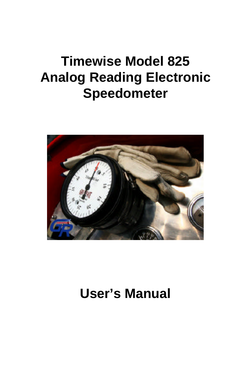# **Timewise Model 825 Analog Reading Electronic Speedometer**



# **User's Manual**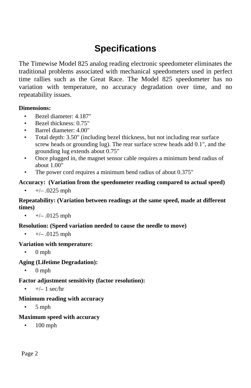# **Specifications**

The Timewise Model 825 analog reading electronic speedometer eliminates the traditional problems associated with mechanical speedometers used in perfect time rallies such as the Great Race. The Model 825 speedometer has no variation with temperature, no accuracy degradation over time, and no repeatability issues.

### **Dimensions:**

- Bezel diameter: 4.187"
- Bezel thickness: 0.75"
- Barrel diameter: 4.00"
- Total depth: 3.50" (including bezel thickness, but not including rear surface screw heads or grounding lug). The rear surface screw heads add 0.1", and the grounding lug extends about 0.75"
- Once plugged in, the magnet sensor cable requires a minimum bend radius of about 1.00"
- The power cord requires a minimum bend radius of about  $0.375$ "

### **Accuracy: (Variation from the speedometer reading compared to actual speed)**

•  $+/- .0225$  mph

#### **Repeatability: (Variation between readings at the same speed, made at different times)**

•  $+/- .0125$  mph

### **Resolution: (Speed variation needed to cause the needle to move)**

•  $+/- .0125$  mph

#### **Variation with temperature:**

• 0 mph

### **Aging (Lifetime Degradation):**

• 0 mph

#### **Factor adjustment sensitivity (factor resolution):**

 $+/- 1$  sec/hr

#### **Minimum reading with accuracy**

 $\bullet$  5 mph

### **Maximum speed with accuracy**

• 100 mph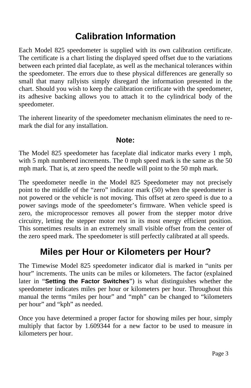# **Calibration Information**

Each Model 825 speedometer is supplied with its own calibration certificate. The certificate is a chart listing the displayed speed offset due to the variations between each printed dial faceplate, as well as the mechanical tolerances within the speedometer. The errors due to these physical differences are generally so small that many rallyists simply disregard the information presented in the chart. Should you wish to keep the calibration certificate with the speedometer, its adhesive backing allows you to attach it to the cylindrical body of the speedometer.

The inherent linearity of the speedometer mechanism eliminates the need to remark the dial for any installation.

### **Note:**

The Model 825 speedometer has faceplate dial indicator marks every 1 mph, with 5 mph numbered increments. The 0 mph speed mark is the same as the 50 mph mark. That is, at zero speed the needle will point to the 50 mph mark.

The speedometer needle in the Model 825 Speedometer may not precisely point to the middle of the "zero" indicator mark (50) when the speedometer is not powered or the vehicle is not moving. This offset at zero speed is due to a power savings mode of the speedometer's firmware. When vehicle speed is zero, the microprocessor removes all power from the stepper motor drive circuitry, letting the stepper motor rest in its most energy efficient position. This sometimes results in an extremely small visible offset from the center of the zero speed mark. The speedometer is still perfectly calibrated at all speeds.

# **Miles per Hour or Kilometers per Hour?**

The Timewise Model 825 speedometer indicator dial is marked in "units per hour" increments. The units can be miles or kilometers. The factor (explained later in "**Setting the Factor Switches**") is what distinguishes whether the speedometer indicates miles per hour or kilometers per hour. Throughout this manual the terms "miles per hour" and "mph" can be changed to "kilometers per hour" and "kph" as needed.

Once you have determined a proper factor for showing miles per hour, simply multiply that factor by 1.609344 for a new factor to be used to measure in kilometers per hour.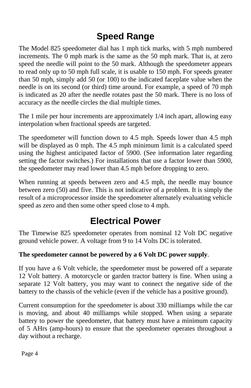# **Speed Range**

The Model 825 speedometer dial has 1 mph tick marks, with 5 mph numbered increments. The 0 mph mark is the same as the 50 mph mark. That is, at zero speed the needle will point to the 50 mark. Although the speedometer appears to read only up to 50 mph full scale, it is usable to 150 mph. For speeds greater than 50 mph, simply add 50 (or 100) to the indicated faceplate value when the needle is on its second (or third) time around. For example, a speed of 70 mph is indicated as 20 after the needle rotates past the 50 mark. There is no loss of accuracy as the needle circles the dial multiple times.

The 1 mile per hour increments are approximately 1/4 inch apart, allowing easy interpolation when fractional speeds are targeted.

The speedometer will function down to 4.5 mph. Speeds lower than 4.5 mph will be displayed as 0 mph. The 4.5 mph minimum limit is a calculated speed using the highest anticipated factor of 5900. (See information later regarding setting the factor switches.) For installations that use a factor lower than 5900, the speedometer may read lower than 4.5 mph before dropping to zero.

When running at speeds between zero and 4.5 mph, the needle may bounce between zero (50) and five. This is not indicative of a problem. It is simply the result of a microprocessor inside the speedometer alternately evaluating vehicle speed as zero and then some other speed close to 4 mph.

# **Electrical Power**

The Timewise 825 speedometer operates from nominal 12 Volt DC negative ground vehicle power. A voltage from 9 to 14 Volts DC is tolerated.

### **The speedometer cannot be powered by a 6 Volt DC power supply**.

If you have a 6 Volt vehicle, the speedometer must be powered off a separate 12 Volt battery. A motorcycle or garden tractor battery is fine. When using a separate 12 Volt battery, you may want to connect the negative side of the battery to the chassis of the vehicle (even if the vehicle has a positive ground).

Current consumption for the speedometer is about 330 milliamps while the car is moving, and about 40 milliamps while stopped. When using a separate battery to power the speedometer, that battery must have a minimum capacity of 5 AHrs (amp-hours) to ensure that the speedometer operates throughout a day without a recharge.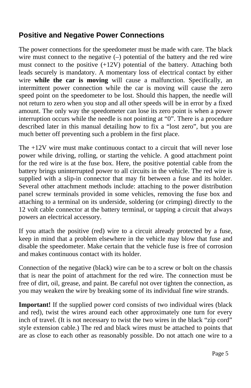### **Positive and Negative Power Connections**

The power connections for the speedometer must be made with care. The black wire must connect to the negative  $(-)$  potential of the battery and the red wire must connect to the positive (+12V) potential of the battery. Attaching both leads securely is mandatory. A momentary loss of electrical contact by either wire **while the car is moving** will cause a malfunction. Specifically, an intermittent power connection while the car is moving will cause the zero speed point on the speedometer to be lost. Should this happen, the needle will not return to zero when you stop and all other speeds will be in error by a fixed amount. The only way the speedometer can lose its zero point is when a power interruption occurs while the needle is not pointing at "0". There is a procedure described later in this manual detailing how to fix a "lost zero", but you are much better off preventing such a problem in the first place.

The +12V wire must make continuous contact to a circuit that will never lose power while driving, rolling, or starting the vehicle. A good attachment point for the red wire is at the fuse box. Here, the positive potential cable from the battery brings uninterrupted power to all circuits in the vehicle. The red wire is supplied with a slip-in connector that may fit between a fuse and its holder. Several other attachment methods include: attaching to the power distribution panel screw terminals provided in some vehicles, removing the fuse box and attaching to a terminal on its underside, soldering (or crimping) directly to the 12 volt cable connector at the battery terminal, or tapping a circuit that always powers an electrical accessory.

If you attach the positive (red) wire to a circuit already protected by a fuse, keep in mind that a problem elsewhere in the vehicle may blow that fuse and disable the speedometer. Make certain that the vehicle fuse is free of corrosion and makes continuous contact with its holder.

Connection of the negative (black) wire can be to a screw or bolt on the chassis that is near the point of attachment for the red wire. The connection must be free of dirt, oil, grease, and paint. Be careful not over tighten the connection, as you may weaken the wire by breaking some of its individual fine wire strands.

**Important!** If the supplied power cord consists of two individual wires (black and red), twist the wires around each other approximately one turn for every inch of travel. (It is not necessary to twist the two wires in the black "zip cord" style extension cable.) The red and black wires must be attached to points that are as close to each other as reasonably possible. Do not attach one wire to a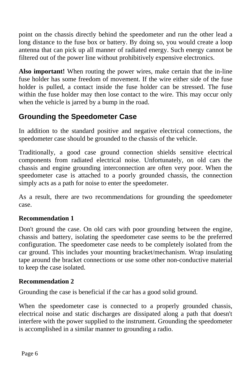point on the chassis directly behind the speedometer and run the other lead a long distance to the fuse box or battery. By doing so, you would create a loop antenna that can pick up all manner of radiated energy. Such energy cannot be filtered out of the power line without prohibitively expensive electronics.

**Also important!** When routing the power wires, make certain that the in-line fuse holder has some freedom of movement. If the wire either side of the fuse holder is pulled, a contact inside the fuse holder can be stressed. The fuse within the fuse holder may then lose contact to the wire. This may occur only when the vehicle is jarred by a bump in the road.

### **Grounding the Speedometer Case**

In addition to the standard positive and negative electrical connections, the speedometer case should be grounded to the chassis of the vehicle.

Traditionally, a good case ground connection shields sensitive electrical components from radiated electrical noise. Unfortunately, on old cars the chassis and engine grounding interconnection are often very poor. When the speedometer case is attached to a poorly grounded chassis, the connection simply acts as a path for noise to enter the speedometer.

As a result, there are two recommendations for grounding the speedometer case.

### **Recommendation 1**

Don't ground the case. On old cars with poor grounding between the engine, chassis and battery, isolating the speedometer case seems to be the preferred configuration. The speedometer case needs to be completely isolated from the car ground. This includes your mounting bracket/mechanism. Wrap insulating tape around the bracket connections or use some other non-conductive material to keep the case isolated.

### **Recommendation 2**

Grounding the case is beneficial if the car has a good solid ground.

When the speedometer case is connected to a properly grounded chassis, electrical noise and static discharges are dissipated along a path that doesn't interfere with the power supplied to the instrument. Grounding the speedometer is accomplished in a similar manner to grounding a radio.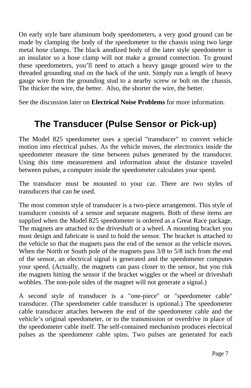On early style bare aluminum body speedometers, a very good ground can be made by clamping the body of the speedometer to the chassis using two large metal hose clamps. The black anodized body of the later style speedometer is an insulator so a hose clamp will not make a ground connection. To ground these speedometers, you'll need to attach a heavy gauge ground wire to the threaded grounding stud on the back of the unit. Simply run a length of heavy gauge wire from the grounding stud to a nearby screw or bolt on the chassis. The thicker the wire, the better. Also, the shorter the wire, the better.

See the discussion later on **Electrical Noise Problems** for more information.

# **The Transducer (Pulse Sensor or Pick-up)**

The Model 825 speedometer uses a special "transducer" to convert vehicle motion into electrical pulses. As the vehicle moves, the electronics inside the speedometer measure the time between pulses generated by the transducer. Using this time measurement and information about the distance traveled between pulses, a computer inside the speedometer calculates your speed.

The transducer must be mounted to your car. There are two styles of transducers that can be used.

The most common style of transducer is a two-piece arrangement. This style of transducer consists of a sensor and separate magnets. Both of these items are supplied when the Model 825 speedometer is ordered as a Great Race package. The magnets are attached to the driveshaft or a wheel. A mounting bracket you must design and fabricate is used to hold the sensor. The bracket is attached to the vehicle so that the magnets pass the end of the sensor as the vehicle moves. When the North or South pole of the magnets pass 3/8 to 5/8 inch from the end of the sensor, an electrical signal is generated and the speedometer computes your speed. (Actually, the magnets can pass closer to the sensor, but you risk the magnets hitting the sensor if the bracket wiggles or the wheel or driveshaft wobbles. The non-pole sides of the magnet will not generate a signal.)

A second style of transducer is a "one-piece" or "speedometer cable" transducer. (The speedometer cable transducer is optional.) The speedometer cable transducer attaches between the end of the speedometer cable and the vehicle's original speedometer, or to the transmission or overdrive in place of the speedometer cable itself. The self-contained mechanism produces electrical pulses as the speedometer cable spins. Two pulses are generated for each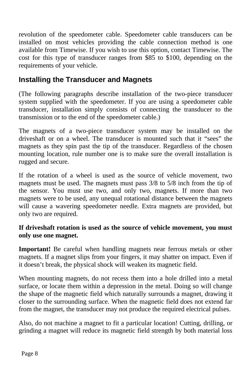revolution of the speedometer cable. Speedometer cable transducers can be installed on most vehicles providing the cable connection method is one available from Timewise. If you wish to use this option, contact Timewise. The cost for this type of transducer ranges from \$85 to \$100, depending on the requirements of your vehicle.

### **Installing the Transducer and Magnets**

(The following paragraphs describe installation of the two-piece transducer system supplied with the speedometer. If you are using a speedometer cable transducer, installation simply consists of connecting the transducer to the transmission or to the end of the speedometer cable.)

The magnets of a two-piece transducer system may be installed on the driveshaft or on a wheel. The transducer is mounted such that it "sees" the magnets as they spin past the tip of the transducer. Regardless of the chosen mounting location, rule number one is to make sure the overall installation is rugged and secure.

If the rotation of a wheel is used as the source of vehicle movement, two magnets must be used. The magnets must pass 3/8 to 5/8 inch from the tip of the sensor. You must use two, and only two, magnets. If more than two magnets were to be used, any unequal rotational distance between the magnets will cause a wavering speedometer needle. Extra magnets are provided, but only two are required.

### **If driveshaft rotation is used as the source of vehicle movement, you must only use one magnet.**

**Important!** Be careful when handling magnets near ferrous metals or other magnets. If a magnet slips from your fingers, it may shatter on impact. Even if it doesn't break, the physical shock will weaken its magnetic field.

When mounting magnets, do not recess them into a hole drilled into a metal surface, or locate them within a depression in the metal. Doing so will change the shape of the magnetic field which naturally surrounds a magnet, drawing it closer to the surrounding surface. When the magnetic field does not extend far from the magnet, the transducer may not produce the required electrical pulses.

Also, do not machine a magnet to fit a particular location! Cutting, drilling, or grinding a magnet will reduce its magnetic field strength by both material loss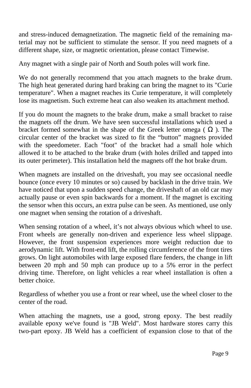and stress-induced demagnetization. The magnetic field of the remaining material may not be sufficient to stimulate the sensor. If you need magnets of a different shape, size, or magnetic orientation, please contact Timewise.

Any magnet with a single pair of North and South poles will work fine.

We do not generally recommend that you attach magnets to the brake drum. The high heat generated during hard braking can bring the magnet to its "Curie temperature". When a magnet reaches its Curie temperature, it will completely lose its magnetism. Such extreme heat can also weaken its attachment method.

If you do mount the magnets to the brake drum, make a small bracket to raise the magnets off the drum. We have seen successful installations which used a bracket formed somewhat in the shape of the Greek letter omega ( ). The circular center of the bracket was sized to fit the "button" magnets provided with the speedometer. Each "foot" of the bracket had a small hole which allowed it to be attached to the brake drum (with holes drilled and tapped into its outer perimeter). This installation held the magnets off the hot brake drum.

When magnets are installed on the driveshaft, you may see occasional needle bounce (once every 10 minutes or so) caused by backlash in the drive train. We have noticed that upon a sudden speed change, the driveshaft of an old car may actually pause or even spin backwards for a moment. If the magnet is exciting the sensor when this occurs, an extra pulse can be seen. As mentioned, use only one magnet when sensing the rotation of a driveshaft.

When sensing rotation of a wheel, it's not always obvious which wheel to use. Front wheels are generally non-driven and experience less wheel slippage. However, the front suspension experiences more weight reduction due to aerodynamic lift. With front-end lift, the rolling circumference of the front tires grows. On light automobiles with large exposed flare fenders, the change in lift between 20 mph and 50 mph can produce up to a 5% error in the perfect driving time. Therefore, on light vehicles a rear wheel installation is often a better choice.

Regardless of whether you use a front or rear wheel, use the wheel closer to the center of the road.

When attaching the magnets, use a good, strong epoxy. The best readily available epoxy we've found is "JB Weld". Most hardware stores carry this two-part epoxy. JB Weld has a coefficient of expansion close to that of the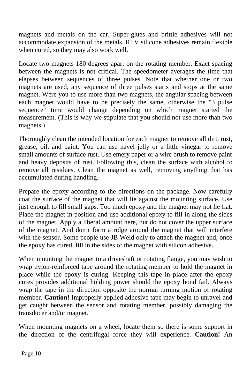magnets and metals on the car. Super-glues and brittle adhesives will not accommodate expansion of the metals. RTV silicone adhesives remain flexible when cured, so they may also work well.

Locate two magnets 180 degrees apart on the rotating member. Exact spacing between the magnets is not critical. The speedometer averages the time that elapses between sequences of three pulses. Note that whether one or two magnets are used, any sequence of three pulses starts and stops at the same magnet. Were you to use more than two magnets, the angular spacing between each magnet would have to be precisely the same, otherwise the "3 pulse sequence" time would change depending on which magnet started the measurement. (This is why we stipulate that you should not use more than two magnets.)

Thoroughly clean the intended location for each magnet to remove all dirt, rust, grease, oil, and paint. You can use navel jelly or a little vinegar to remove small amounts of surface rust. Use emery paper or a wire brush to remove paint and heavy deposits of rust. Following this, clean the surface with alcohol to remove all residues. Clean the magnet as well, removing anything that has accumulated during handling.

Prepare the epoxy according to the directions on the package. Now carefully coat the surface of the magnet that will lie against the mounting surface. Use just enough to fill small gaps. Too much epoxy and the magnet may not lie flat. Place the magnet in position and use additional epoxy to fill-in along the sides of the magnet. Apply a liberal amount here, but do not cover the upper surface of the magnet. And don't form a ridge around the magnet that will interfere with the sensor. Some people use JB Weld only to attach the magnet and, once the epoxy has cured, fill in the sides of the magnet with silicon adhesive.

When mounting the magnet to a driveshaft or rotating flange, you may wish to wrap nylon-reinforced tape around the rotating member to hold the magnet in place while the epoxy is curing. Keeping this tape in place after the epoxy cures provides additional holding power should the epoxy bond fail. Always wrap the tape in the direction opposite the normal turning motion of rotating member. **Caution!** Improperly applied adhesive tape may begin to unravel and get caught between the sensor and rotating member, possibly damaging the transducer and/or magnet.

When mounting magnets on a wheel, locate them so there is some support in the direction of the centrifugal force they will experience. **Caution!** An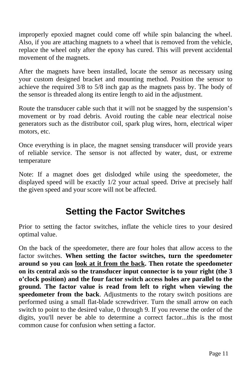improperly epoxied magnet could come off while spin balancing the wheel. Also, if you are attaching magnets to a wheel that is removed from the vehicle, replace the wheel only after the epoxy has cured. This will prevent accidental movement of the magnets.

After the magnets have been installed, locate the sensor as necessary using your custom designed bracket and mounting method. Position the sensor to achieve the required 3/8 to 5/8 inch gap as the magnets pass by. The body of the sensor is threaded along its entire length to aid in the adjustment.

Route the transducer cable such that it will not be snagged by the suspension's movement or by road debris. Avoid routing the cable near electrical noise generators such as the distributor coil, spark plug wires, horn, electrical wiper motors, etc.

Once everything is in place, the magnet sensing transducer will provide years of reliable service. The sensor is not affected by water, dust, or extreme temperature

Note: If a magnet does get dislodged while using the speedometer, the displayed speed will be exactly 1/2 your actual speed. Drive at precisely half the given speed and your score will not be affected.

## **Setting the Factor Switches**

Prior to setting the factor switches, inflate the vehicle tires to your desired optimal value.

On the back of the speedometer, there are four holes that allow access to the factor switches. **When setting the factor switches, turn the speedometer around so you can look at it from the back. Then rotate the speedometer on its central axis so the transducer input connector is to your right (the 3 o'clock position) and the four factor switch access holes are parallel to the ground. The factor value is read from left to right when viewing the speedometer from the back**. Adjustments to the rotary switch positions are performed using a small flat-blade screwdriver. Turn the small arrow on each switch to point to the desired value, 0 through 9. If you reverse the order of the digits, you'll never be able to determine a correct factor...this is the most common cause for confusion when setting a factor.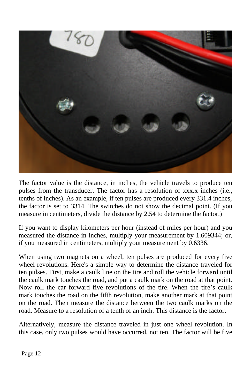

The factor value is the distance, in inches, the vehicle travels to produce ten pulses from the transducer. The factor has a resolution of xxx.x inches (i.e., tenths of inches). As an example, if ten pulses are produced every 331.4 inches, the factor is set to 3314. The switches do not show the decimal point. (If you measure in centimeters, divide the distance by 2.54 to determine the factor.)

If you want to display kilometers per hour (instead of miles per hour) and you measured the distance in inches, multiply your measurement by 1.609344; or, if you measured in centimeters, multiply your measurement by 0.6336.

When using two magnets on a wheel, ten pulses are produced for every five wheel revolutions. Here's a simple way to determine the distance traveled for ten pulses. First, make a caulk line on the tire and roll the vehicle forward until the caulk mark touches the road, and put a caulk mark on the road at that point. Now roll the car forward five revolutions of the tire. When the tire's caulk mark touches the road on the fifth revolution, make another mark at that point on the road. Then measure the distance between the two caulk marks on the road. Measure to a resolution of a tenth of an inch. This distance is the factor.

Alternatively, measure the distance traveled in just one wheel revolution. In this case, only two pulses would have occurred, not ten. The factor will be five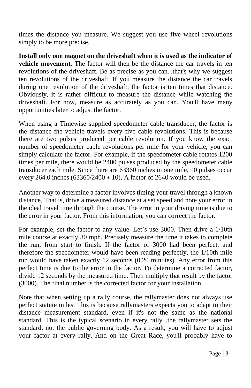times the distance you measure. We suggest you use five wheel revolutions simply to be more precise.

**Install only one magnet on the driveshaft when it is used as the indicator of vehicle movement.** The factor will then be the distance the car travels in ten revolutions of the driveshaft. Be as precise as you can...that's why we suggest ten revolutions of the driveshaft. If you measure the distance the car travels during one revolution of the driveshaft, the factor is ten times that distance. Obviously, it is rather difficult to measure the distance while watching the driveshaft. For now, measure as accurately as you can. You'll have many opportunities later to adjust the factor.

When using a Timewise supplied speedometer cable transducer, the factor is the distance the vehicle travels every five cable revolutions. This is because there are two pulses produced per cable revolution. If you know the exact number of speedometer cable revolutions per mile for your vehicle, you can simply calculate the factor. For example, if the speedometer cable rotates 1200 times per mile, there would be 2400 pulses produced by the speedometer cable transducer each mile. Since there are 63360 inches in one mile, 10 pulses occur every 264.0 inches (63360/2400 \* 10). A factor of 2640 would be used.

Another way to determine a factor involves timing your travel through a known distance. That is, drive a measured distance at a set speed and note your error in the ideal travel time through the course. The error in your driving time is due to the error in your factor. From this information, you can correct the factor.

For example, set the factor to any value. Let's use 3000. Then drive a 1/10th mile course at exactly 30 mph. Precisely measure the time it takes to complete the run, from start to finish. If the factor of 3000 had been perfect, and therefore the speedometer would have been reading perfectly, the 1/10th mile run would have taken exactly 12 seconds (0.20 minutes). Any error from this perfect time is due to the error in the factor. To determine a corrected factor, divide 12 seconds by the measured time. Then multiply that result by the factor (3000). The final number is the corrected factor for your installation.

Note that when setting up a rally course, the rallymaster does not always use perfect statute miles. This is because rallymasters expects you to adapt to their distance measurement standard, even if it's not the same as the national standard. This is the typical scenario in every rally...the rallymaster sets the standard, not the public governing body. As a result, you will have to adjust your factor at every rally. And on the Great Race, you'll probably have to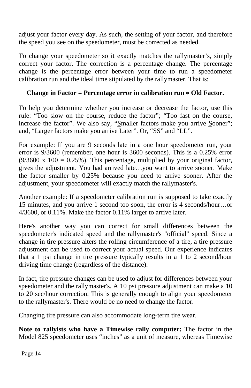adjust your factor every day. As such, the setting of your factor, and therefore the speed you see on the speedometer, must be corrected as needed.

To change your speedometer so it exactly matches the rallymaster's, simply correct your factor. The correction is a percentage change. The percentage change is the percentage error between your time to run a speedometer calibration run and the ideal time stipulated by the rallymaster. That is:

### **Change in Factor = Percentage error in calibration run \* Old Factor.**

To help you determine whether you increase or decrease the factor, use this rule: "Too slow on the course, reduce the factor"; "Too fast on the course, increase the factor". We also say, "Smaller factors make you arrive Sooner"; and, "Larger factors make you arrive Later". Or, "SS" and "LL".

For example: If you are 9 seconds late in a one hour speedometer run, your error is 9/3600 (remember, one hour is 3600 seconds). This is a 0.25% error  $(9/3600 \times 100 = 0.25\%)$ . This percentage, multiplied by your original factor, gives the adjustment. You had arrived late…you want to arrive sooner. Make the factor smaller by 0.25% because you need to arrive sooner. After the adjustment, your speedometer will exactly match the rallymaster's.

Another example: If a speedometer calibration run is supposed to take exactly 15 minutes, and you arrive 1 second too soon, the error is 4 seconds/hour…or 4/3600, or 0.11%. Make the factor 0.11% larger to arrive later.

Here's another way you can correct for small differences between the speedometer's indicated speed and the rallymaster's "official" speed. Since a change in tire pressure alters the rolling circumference of a tire, a tire pressure adjustment can be used to correct your actual speed. Our experience indicates that a 1 psi change in tire pressure typically results in a 1 to 2 second/hour driving time change (regardless of the distance).

In fact, tire pressure changes can be used to adjust for differences between your speedometer and the rallymaster's. A 10 psi pressure adjustment can make a 10 to 20 sec/hour correction. This is generally enough to align your speedometer to the rallymaster's. There would be no need to change the factor.

Changing tire pressure can also accommodate long-term tire wear.

**Note to rallyists who have a Timewise rally computer:** The factor in the Model 825 speedometer uses "inches" as a unit of measure, whereas Timewise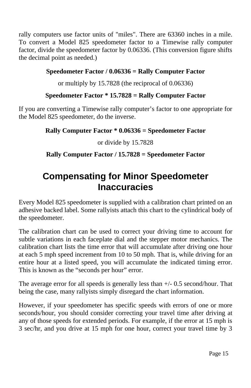rally computers use factor units of "miles". There are 63360 inches in a mile. To convert a Model 825 speedometer factor to a Timewise rally computer factor, divide the speedometer factor by 0.06336. (This conversion figure shifts the decimal point as needed.)

### **Speedometer Factor / 0.06336 = Rally Computer Factor**

or multiply by 15.7828 (the reciprocal of 0.06336)

### **Speedometer Factor \* 15.7828 = Rally Computer Factor**

If you are converting a Timewise rally computer's factor to one appropriate for the Model 825 speedometer, do the inverse.

### **Rally Computer Factor \* 0.06336 = Speedometer Factor**

or divide by 15.7828

### **Rally Computer Factor / 15.7828 = Speedometer Factor**

# **Compensating for Minor Speedometer Inaccuracies**

Every Model 825 speedometer is supplied with a calibration chart printed on an adhesive backed label. Some rallyists attach this chart to the cylindrical body of the speedometer.

The calibration chart can be used to correct your driving time to account for subtle variations in each faceplate dial and the stepper motor mechanics. The calibration chart lists the time error that will accumulate after driving one hour at each 5 mph speed increment from 10 to 50 mph. That is, while driving for an entire hour at a listed speed, you will accumulate the indicated timing error. This is known as the "seconds per hour" error.

The average error for all speeds is generally less than +/- 0.5 second/hour. That being the case, many rallyists simply disregard the chart information.

However, if your speedometer has specific speeds with errors of one or more seconds/hour, you should consider correcting your travel time after driving at any of those speeds for extended periods. For example, if the error at 15 mph is 3 sec/hr, and you drive at 15 mph for one hour, correct your travel time by 3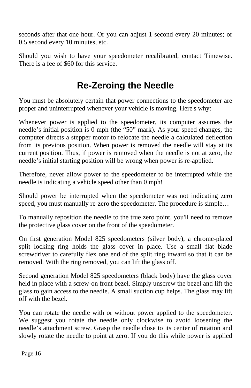seconds after that one hour. Or you can adjust 1 second every 20 minutes; or 0.5 second every 10 minutes, etc.

Should you wish to have your speedometer recalibrated, contact Timewise. There is a fee of \$60 for this service.

# **Re-Zeroing the Needle**

You must be absolutely certain that power connections to the speedometer are proper and uninterrupted whenever your vehicle is moving. Here's why:

Whenever power is applied to the speedometer, its computer assumes the needle's initial position is 0 mph (the "50" mark). As your speed changes, the computer directs a stepper motor to relocate the needle a calculated deflection from its previous position. When power is removed the needle will stay at its current position. Thus, if power is removed when the needle is not at zero, the needle's initial starting position will be wrong when power is re-applied.

Therefore, never allow power to the speedometer to be interrupted while the needle is indicating a vehicle speed other than 0 mph!

Should power be interrupted when the speedometer was not indicating zero speed, you must manually re-zero the speedometer. The procedure is simple...

To manually reposition the needle to the true zero point, you'll need to remove the protective glass cover on the front of the speedometer.

On first generation Model 825 speedometers (silver body), a chrome-plated split locking ring holds the glass cover in place. Use a small flat blade screwdriver to carefully flex one end of the split ring inward so that it can be removed. With the ring removed, you can lift the glass off.

Second generation Model 825 speedometers (black body) have the glass cover held in place with a screw-on front bezel. Simply unscrew the bezel and lift the glass to gain access to the needle. A small suction cup helps. The glass may lift off with the bezel.

You can rotate the needle with or without power applied to the speedometer. We suggest you rotate the needle only clockwise to avoid loosening the needle's attachment screw. Grasp the needle close to its center of rotation and slowly rotate the needle to point at zero. If you do this while power is applied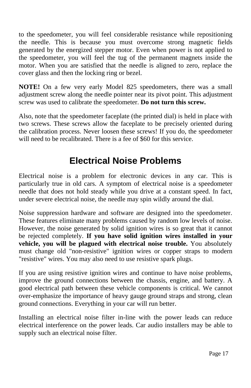to the speedometer, you will feel considerable resistance while repositioning the needle. This is because you must overcome strong magnetic fields generated by the energized stepper motor. Even when power is not applied to the speedometer, you will feel the tug of the permanent magnets inside the motor. When you are satisfied that the needle is aligned to zero, replace the cover glass and then the locking ring or bezel.

**NOTE!** On a few very early Model 825 speedometers, there was a small adjustment screw along the needle pointer near its pivot point. This adjustment screw was used to calibrate the speedometer. **Do not turn this screw.**

Also, note that the speedometer faceplate (the printed dial) is held in place with two screws. These screws allow the faceplate to be precisely oriented during the calibration process. Never loosen these screws! If you do, the speedometer will need to be recalibrated. There is a fee of \$60 for this service.

# **Electrical Noise Problems**

Electrical noise is a problem for electronic devices in any car. This is particularly true in old cars. A symptom of electrical noise is a speedometer needle that does not hold steady while you drive at a constant speed. In fact, under severe electrical noise, the needle may spin wildly around the dial.

Noise suppression hardware and software are designed into the speedometer. These features eliminate many problems caused by random low levels of noise. However, the noise generated by solid ignition wires is so great that it cannot be rejected completely. **If you have solid ignition wires installed in your vehicle, you will be plagued with electrical noise trouble.** You absolutely must change old "non-resistive" ignition wires or copper straps to modern "resistive" wires. You may also need to use resistive spark plugs.

If you are using resistive ignition wires and continue to have noise problems, improve the ground connections between the chassis, engine, and battery. A good electrical path between these vehicle components is critical. We cannot over-emphasize the importance of heavy gauge ground straps and strong, clean ground connections. Everything in your car will run better.

Installing an electrical noise filter in-line with the power leads can reduce electrical interference on the power leads. Car audio installers may be able to supply such an electrical noise filter.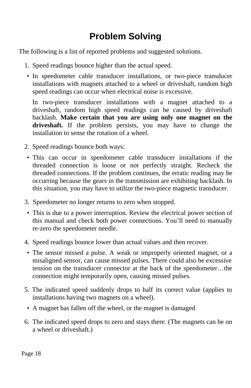# **Problem Solving**

The following is a list of reported problems and suggested solutions.

- 1. Speed readings bounce higher than the actual speed.
- In speedometer cable transducer installations, or two-piece transducer installations with magnets attached to a wheel or driveshaft, random high speed readings can occur when electrical noise is excessive.

In two-piece transducer installations with a magnet attached to a driveshaft, random high speed readings can be caused by driveshaft backlash. **Make certain that you are using only one magnet on the driveshaft.** If the problem persists, you may have to change the installation to sense the rotation of a wheel.

- 2. Speed readings bounce both ways:
- This can occur in speedometer cable transducer installations if the threaded connection is loose or not perfectly straight. Recheck the threaded connections. If the problem continues, the erratic reading may be occurring because the gears in the transmission are exhibiting backlash. In this situation, you may have to utilize the two-piece magnetic transducer.
- 3. Speedometer no longer returns to zero when stopped.
- This is due to a power interruption. Review the electrical power section of this manual and check both power connections. You'll need to manually re-zero the speedometer needle.
- 4. Speed readings bounce lower than actual values and then recover.
- The sensor missed a pulse. A weak or improperly oriented magnet, or a misaligned sensor, can cause missed pulses. There could also be excessive tension on the transducer connector at the back of the speedometer…the connection might temporarily open, causing missed pulses.
- 5. The indicated speed suddenly drops to half its correct value (applies to installations having two magnets on a wheel).
- A magnet has fallen off the wheel, or the magnet is damaged
- 6. The indicated speed drops to zero and stays there. (The magnets can be on a wheel or driveshaft.)